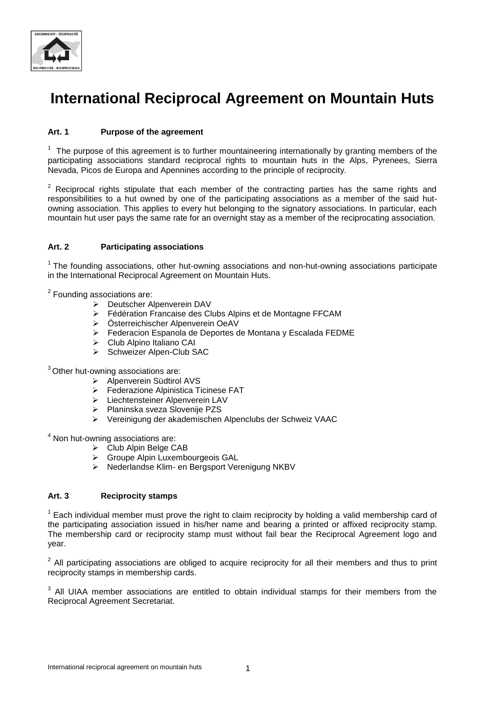

# **International Reciprocal Agreement on Mountain Huts**

# **Art. 1 Purpose of the agreement**

 $1$  The purpose of this agreement is to further mountaineering internationally by granting members of the participating associations standard reciprocal rights to mountain huts in the Alps, Pyrenees, Sierra Nevada, Picos de Europa and Apennines according to the principle of reciprocity.

 $2$  Reciprocal rights stipulate that each member of the contracting parties has the same rights and responsibilities to a hut owned by one of the participating associations as a member of the said hutowning association. This applies to every hut belonging to the signatory associations. In particular, each mountain hut user pays the same rate for an overnight stay as a member of the reciprocating association.

# **Art. 2 Participating associations**

<sup>1</sup> The founding associations, other hut-owning associations and non-hut-owning associations participate in the International Reciprocal Agreement on Mountain Huts.

<sup>2</sup> Founding associations are:

- Deutscher Alpenverein DAV
- Fédération Francaise des Clubs Alpins et de Montagne FFCAM
- Österreichischer Alpenverein OeAV
- Federacion Espanola de Deportes de Montana y Escalada FEDME
- Club Alpino Italiano CAI
- > Schweizer Alpen-Club SAC

<sup>3</sup> Other hut-owning associations are:

- > Alpenverein Südtirol AVS
- **Ederazione Alpinistica Ticinese FAT**
- Liechtensteiner Alpenverein LAV
- Planinska sveza Slovenije PZS
- Vereinigung der akademischen Alpenclubs der Schweiz VAAC

<sup>4</sup> Non hut-owning associations are:

- Club Alpin Belge CAB
- Groupe Alpin Luxembourgeois GAL
- ▶ Nederlandse Klim- en Bergsport Verenigung NKBV

#### **Art. 3 Reciprocity stamps**

 $1$  Each individual member must prove the right to claim reciprocity by holding a valid membership card of the participating association issued in his/her name and bearing a printed or affixed reciprocity stamp. The membership card or reciprocity stamp must without fail bear the Reciprocal Agreement logo and year.

 $2$  All participating associations are obliged to acquire reciprocity for all their members and thus to print reciprocity stamps in membership cards.

 $3$  All UIAA member associations are entitled to obtain individual stamps for their members from the Reciprocal Agreement Secretariat.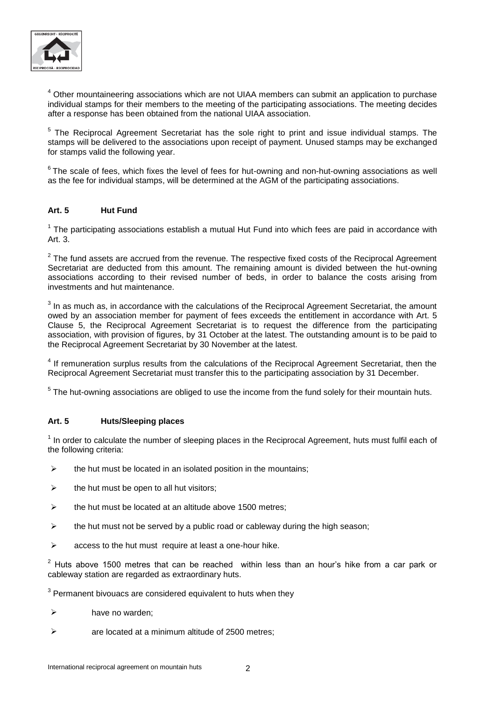

<sup>4</sup> Other mountaineering associations which are not UIAA members can submit an application to purchase individual stamps for their members to the meeting of the participating associations. The meeting decides after a response has been obtained from the national UIAA association.

<sup>5</sup> The Reciprocal Agreement Secretariat has the sole right to print and issue individual stamps. The stamps will be delivered to the associations upon receipt of payment. Unused stamps may be exchanged for stamps valid the following year.

 $6$ The scale of fees, which fixes the level of fees for hut-owning and non-hut-owning associations as well as the fee for individual stamps, will be determined at the AGM of the participating associations.

# **Art. 5 Hut Fund**

 $1$  The participating associations establish a mutual Hut Fund into which fees are paid in accordance with Art. 3.

 $2$  The fund assets are accrued from the revenue. The respective fixed costs of the Reciprocal Agreement Secretariat are deducted from this amount. The remaining amount is divided between the hut-owning associations according to their revised number of beds, in order to balance the costs arising from investments and hut maintenance.

 $3$  In as much as, in accordance with the calculations of the Reciprocal Agreement Secretariat, the amount owed by an association member for payment of fees exceeds the entitlement in accordance with Art. 5 Clause 5, the Reciprocal Agreement Secretariat is to request the difference from the participating association, with provision of figures, by 31 October at the latest. The outstanding amount is to be paid to the Reciprocal Agreement Secretariat by 30 November at the latest.

<sup>4</sup> If remuneration surplus results from the calculations of the Reciprocal Agreement Secretariat, then the Reciprocal Agreement Secretariat must transfer this to the participating association by 31 December.

 $5$  The hut-owning associations are obliged to use the income from the fund solely for their mountain huts.

# **Art. 5 Huts/Sleeping places**

 $<sup>1</sup>$  In order to calculate the number of sleeping places in the Reciprocal Agreement, huts must fulfil each of</sup> the following criteria:

- $\triangleright$  the hut must be located in an isolated position in the mountains;
- $\triangleright$  the hut must be open to all hut visitors:
- $\triangleright$  the hut must be located at an altitude above 1500 metres;
- $\triangleright$  the hut must not be served by a public road or cableway during the high season;
- $\triangleright$  access to the hut must require at least a one-hour hike.

 $2$  Huts above 1500 metres that can be reached within less than an hour's hike from a car park or cableway station are regarded as extraordinary huts.

 $3$  Permanent bivouacs are considered equivalent to huts when they

- $\triangleright$  have no warden;
- $\triangleright$  are located at a minimum altitude of 2500 metres;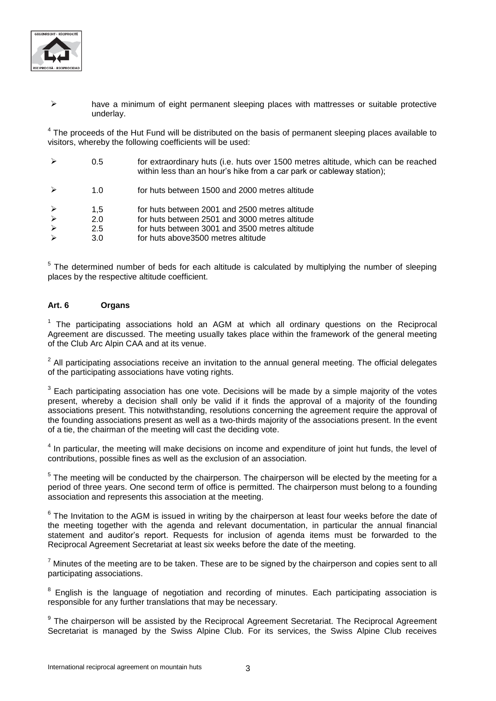

#### $\triangleright$  have a minimum of eight permanent sleeping places with mattresses or suitable protective underlay.

 $4$  The proceeds of the Hut Fund will be distributed on the basis of permanent sleeping places available to visitors, whereby the following coefficients will be used:

| $\triangleright$ | 0.5 | for extraordinary huts (i.e. huts over 1500 metres altitude, which can be reached<br>within less than an hour's hike from a car park or cableway station); |
|------------------|-----|------------------------------------------------------------------------------------------------------------------------------------------------------------|
|                  | 1.0 | for huts between 1500 and 2000 metres altitude                                                                                                             |
| $\triangleright$ | 1.5 | for huts between 2001 and 2500 metres altitude                                                                                                             |
| $\triangleright$ | 2.0 | for huts between 2501 and 3000 metres altitude                                                                                                             |
| $\triangleright$ | 2.5 | for huts between 3001 and 3500 metres altitude                                                                                                             |
| $\triangleright$ | 3.0 | for huts above 3500 metres altitude                                                                                                                        |

<sup>5</sup> The determined number of beds for each altitude is calculated by multiplying the number of sleeping places by the respective altitude coefficient.

# **Art. 6 Organs**

<sup>1</sup> The participating associations hold an AGM at which all ordinary questions on the Reciprocal Agreement are discussed. The meeting usually takes place within the framework of the general meeting of the Club Arc Alpin CAA and at its venue.

 $2$  All participating associations receive an invitation to the annual general meeting. The official delegates of the participating associations have voting rights.

 $3$  Each participating association has one vote. Decisions will be made by a simple majority of the votes present, whereby a decision shall only be valid if it finds the approval of a majority of the founding associations present. This notwithstanding, resolutions concerning the agreement require the approval of the founding associations present as well as a two-thirds majority of the associations present. In the event of a tie, the chairman of the meeting will cast the deciding vote.

<sup>4</sup> In particular, the meeting will make decisions on income and expenditure of joint hut funds, the level of contributions, possible fines as well as the exclusion of an association.

<sup>5</sup> The meeting will be conducted by the chairperson. The chairperson will be elected by the meeting for a period of three years. One second term of office is permitted. The chairperson must belong to a founding association and represents this association at the meeting.

 $6$  The Invitation to the AGM is issued in writing by the chairperson at least four weeks before the date of the meeting together with the agenda and relevant documentation, in particular the annual financial statement and auditor's report. Requests for inclusion of agenda items must be forwarded to the Reciprocal Agreement Secretariat at least six weeks before the date of the meeting.

 $7$  Minutes of the meeting are to be taken. These are to be signed by the chairperson and copies sent to all participating associations.

<sup>8</sup> English is the language of negotiation and recording of minutes. Each participating association is responsible for any further translations that may be necessary.

<sup>9</sup> The chairperson will be assisted by the Reciprocal Agreement Secretariat. The Reciprocal Agreement Secretariat is managed by the Swiss Alpine Club. For its services, the Swiss Alpine Club receives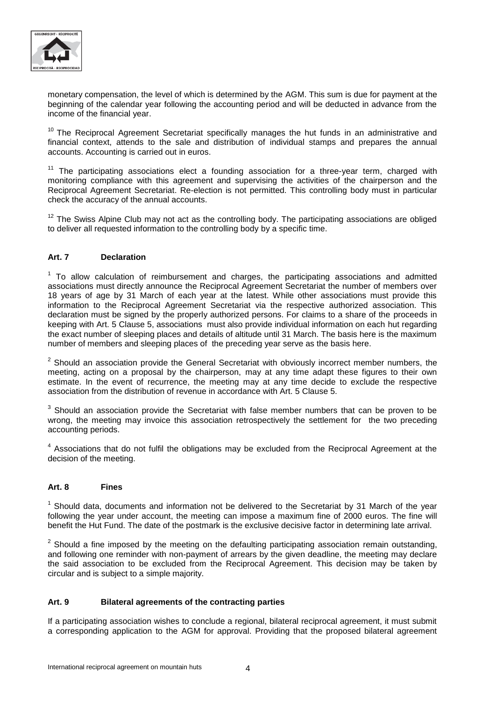

monetary compensation, the level of which is determined by the AGM. This sum is due for payment at the beginning of the calendar year following the accounting period and will be deducted in advance from the income of the financial year.

 $10$  The Reciprocal Agreement Secretariat specifically manages the hut funds in an administrative and financial context, attends to the sale and distribution of individual stamps and prepares the annual accounts. Accounting is carried out in euros.

 $11$  The participating associations elect a founding association for a three-year term, charged with monitoring compliance with this agreement and supervising the activities of the chairperson and the Reciprocal Agreement Secretariat. Re-election is not permitted. This controlling body must in particular check the accuracy of the annual accounts.

 $12$  The Swiss Alpine Club may not act as the controlling body. The participating associations are obliged to deliver all requested information to the controlling body by a specific time.

# **Art. 7 Declaration**

 $1$  To allow calculation of reimbursement and charges, the participating associations and admitted associations must directly announce the Reciprocal Agreement Secretariat the number of members over 18 years of age by 31 March of each year at the latest. While other associations must provide this information to the Reciprocal Agreement Secretariat via the respective authorized association. This declaration must be signed by the properly authorized persons. For claims to a share of the proceeds in keeping with Art. 5 Clause 5, associations must also provide individual information on each hut regarding the exact number of sleeping places and details of altitude until 31 March. The basis here is the maximum number of members and sleeping places of the preceding year serve as the basis here.

 $2$  Should an association provide the General Secretariat with obviously incorrect member numbers, the meeting, acting on a proposal by the chairperson, may at any time adapt these figures to their own estimate. In the event of recurrence, the meeting may at any time decide to exclude the respective association from the distribution of revenue in accordance with Art. 5 Clause 5.

 $3$  Should an association provide the Secretariat with false member numbers that can be proven to be wrong, the meeting may invoice this association retrospectively the settlement for the two preceding accounting periods.

<sup>4</sup> Associations that do not fulfil the obligations may be excluded from the Reciprocal Agreement at the decision of the meeting.

# **Art. 8 Fines**

<sup>1</sup> Should data, documents and information not be delivered to the Secretariat by 31 March of the year following the year under account, the meeting can impose a maximum fine of 2000 euros. The fine will benefit the Hut Fund. The date of the postmark is the exclusive decisive factor in determining late arrival.

 $2$  Should a fine imposed by the meeting on the defaulting participating association remain outstanding, and following one reminder with non-payment of arrears by the given deadline, the meeting may declare the said association to be excluded from the Reciprocal Agreement. This decision may be taken by circular and is subject to a simple majority.

# **Art. 9 Bilateral agreements of the contracting parties**

If a participating association wishes to conclude a regional, bilateral reciprocal agreement, it must submit a corresponding application to the AGM for approval. Providing that the proposed bilateral agreement